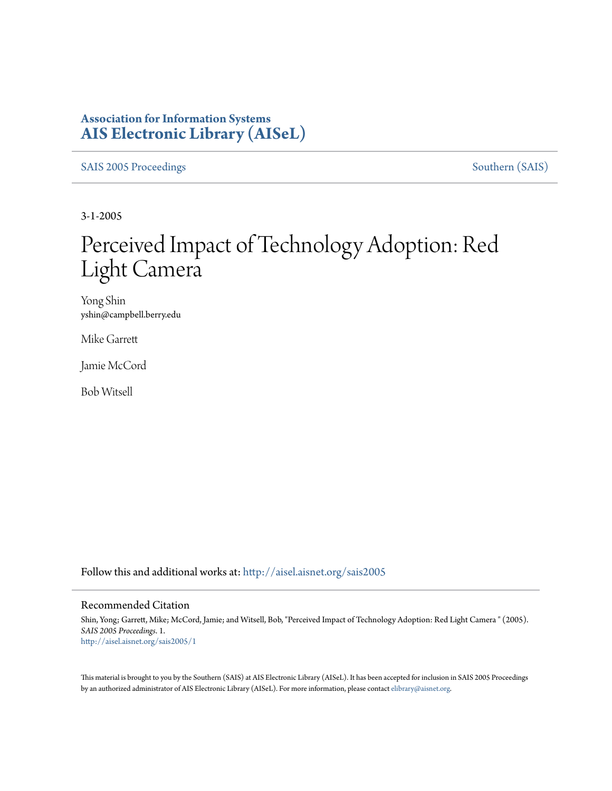## **Association for Information Systems [AIS Electronic Library \(AISeL\)](http://aisel.aisnet.org?utm_source=aisel.aisnet.org%2Fsais2005%2F1&utm_medium=PDF&utm_campaign=PDFCoverPages)**

[SAIS 2005 Proceedings](http://aisel.aisnet.org/sais2005?utm_source=aisel.aisnet.org%2Fsais2005%2F1&utm_medium=PDF&utm_campaign=PDFCoverPages) [Southern \(SAIS\)](http://aisel.aisnet.org/sais?utm_source=aisel.aisnet.org%2Fsais2005%2F1&utm_medium=PDF&utm_campaign=PDFCoverPages)

3-1-2005

# Perceived Impact of Technology Adoption: Red Light Camera

Yong Shin yshin@campbell.berry.edu

Mike Garrett

Jamie McCord

Bob Witsell

Follow this and additional works at: [http://aisel.aisnet.org/sais2005](http://aisel.aisnet.org/sais2005?utm_source=aisel.aisnet.org%2Fsais2005%2F1&utm_medium=PDF&utm_campaign=PDFCoverPages)

#### Recommended Citation

Shin, Yong; Garrett, Mike; McCord, Jamie; and Witsell, Bob, "Perceived Impact of Technology Adoption: Red Light Camera " (2005). *SAIS 2005 Proceedings*. 1. [http://aisel.aisnet.org/sais2005/1](http://aisel.aisnet.org/sais2005/1?utm_source=aisel.aisnet.org%2Fsais2005%2F1&utm_medium=PDF&utm_campaign=PDFCoverPages)

This material is brought to you by the Southern (SAIS) at AIS Electronic Library (AISeL). It has been accepted for inclusion in SAIS 2005 Proceedings by an authorized administrator of AIS Electronic Library (AISeL). For more information, please contact [elibrary@aisnet.org](mailto:elibrary@aisnet.org%3E).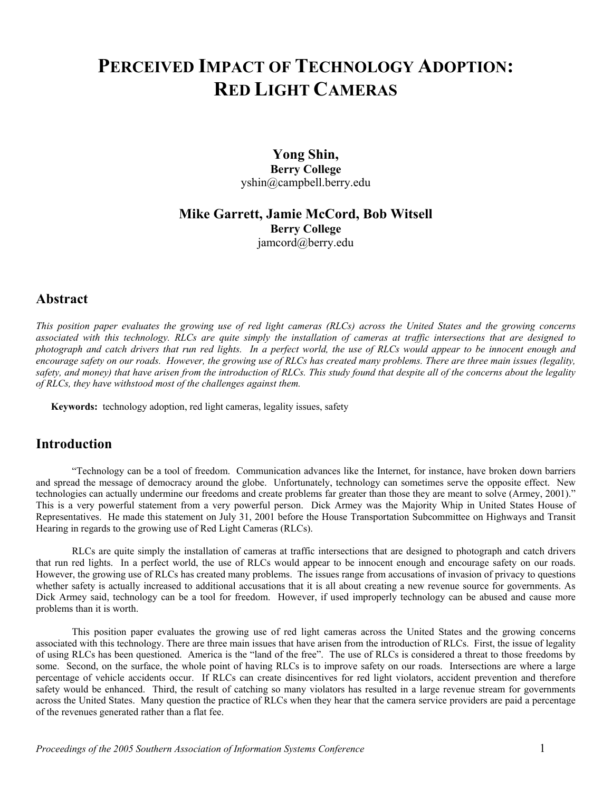## **PERCEIVED IMPACT OF TECHNOLOGY ADOPTION: RED LIGHT CAMERAS**

## **Yong Shin, Berry College**  yshin@campbell.berry.edu

## **Mike Garrett, Jamie McCord, Bob Witsell Berry College** jamcord@berry.edu

## **Abstract**

*This position paper evaluates the growing use of red light cameras (RLCs) across the United States and the growing concerns associated with this technology. RLCs are quite simply the installation of cameras at traffic intersections that are designed to photograph and catch drivers that run red lights. In a perfect world, the use of RLCs would appear to be innocent enough and encourage safety on our roads. However, the growing use of RLCs has created many problems. There are three main issues (legality, safety, and money) that have arisen from the introduction of RLCs. This study found that despite all of the concerns about the legality of RLCs, they have withstood most of the challenges against them.* 

**Keywords:** technology adoption, red light cameras, legality issues, safety

## **Introduction**

"Technology can be a tool of freedom. Communication advances like the Internet, for instance, have broken down barriers and spread the message of democracy around the globe. Unfortunately, technology can sometimes serve the opposite effect. New technologies can actually undermine our freedoms and create problems far greater than those they are meant to solve (Armey, 2001)." This is a very powerful statement from a very powerful person. Dick Armey was the Majority Whip in United States House of Representatives. He made this statement on July 31, 2001 before the House Transportation Subcommittee on Highways and Transit Hearing in regards to the growing use of Red Light Cameras (RLCs).

RLCs are quite simply the installation of cameras at traffic intersections that are designed to photograph and catch drivers that run red lights. In a perfect world, the use of RLCs would appear to be innocent enough and encourage safety on our roads. However, the growing use of RLCs has created many problems. The issues range from accusations of invasion of privacy to questions whether safety is actually increased to additional accusations that it is all about creating a new revenue source for governments. As Dick Armey said, technology can be a tool for freedom. However, if used improperly technology can be abused and cause more problems than it is worth.

This position paper evaluates the growing use of red light cameras across the United States and the growing concerns associated with this technology. There are three main issues that have arisen from the introduction of RLCs. First, the issue of legality of using RLCs has been questioned. America is the "land of the free". The use of RLCs is considered a threat to those freedoms by some. Second, on the surface, the whole point of having RLCs is to improve safety on our roads. Intersections are where a large percentage of vehicle accidents occur. If RLCs can create disincentives for red light violators, accident prevention and therefore safety would be enhanced. Third, the result of catching so many violators has resulted in a large revenue stream for governments across the United States. Many question the practice of RLCs when they hear that the camera service providers are paid a percentage of the revenues generated rather than a flat fee.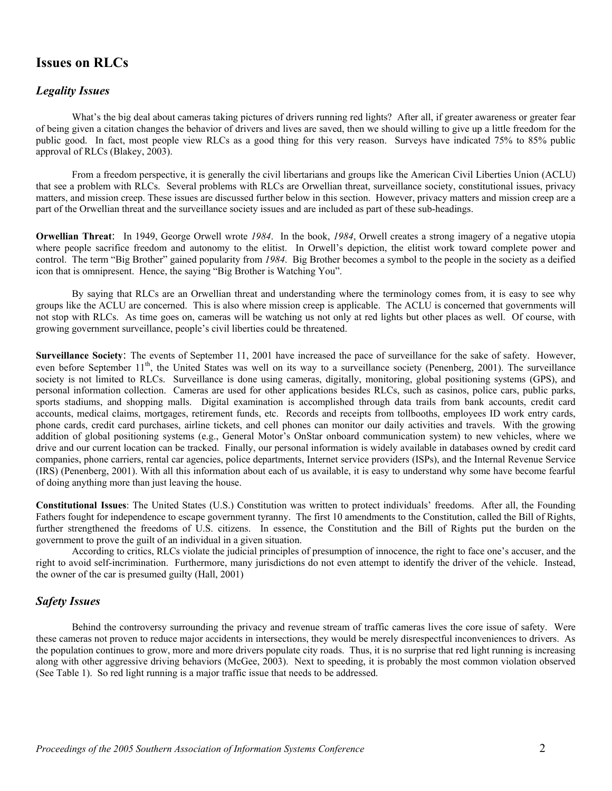## **Issues on RLCs**

#### *Legality Issues*

What's the big deal about cameras taking pictures of drivers running red lights? After all, if greater awareness or greater fear of being given a citation changes the behavior of drivers and lives are saved, then we should willing to give up a little freedom for the public good. In fact, most people view RLCs as a good thing for this very reason. Surveys have indicated 75% to 85% public approval of RLCs (Blakey, 2003).

From a freedom perspective, it is generally the civil libertarians and groups like the American Civil Liberties Union (ACLU) that see a problem with RLCs. Several problems with RLCs are Orwellian threat, surveillance society, constitutional issues, privacy matters, and mission creep. These issues are discussed further below in this section. However, privacy matters and mission creep are a part of the Orwellian threat and the surveillance society issues and are included as part of these sub-headings.

**Orwellian Threat**: In 1949, George Orwell wrote *1984*. In the book, *1984*, Orwell creates a strong imagery of a negative utopia where people sacrifice freedom and autonomy to the elitist. In Orwell's depiction, the elitist work toward complete power and control. The term "Big Brother" gained popularity from *1984*. Big Brother becomes a symbol to the people in the society as a deified icon that is omnipresent. Hence, the saying "Big Brother is Watching You".

By saying that RLCs are an Orwellian threat and understanding where the terminology comes from, it is easy to see why groups like the ACLU are concerned. This is also where mission creep is applicable. The ACLU is concerned that governments will not stop with RLCs. As time goes on, cameras will be watching us not only at red lights but other places as well. Of course, with growing government surveillance, people's civil liberties could be threatened.

**Surveillance Society**: The events of September 11, 2001 have increased the pace of surveillance for the sake of safety. However, even before September 11<sup>th</sup>, the United States was well on its way to a surveillance society (Penenberg, 2001). The surveillance society is not limited to RLCs. Surveillance is done using cameras, digitally, monitoring, global positioning systems (GPS), and personal information collection. Cameras are used for other applications besides RLCs, such as casinos, police cars, public parks, sports stadiums, and shopping malls. Digital examination is accomplished through data trails from bank accounts, credit card accounts, medical claims, mortgages, retirement funds, etc. Records and receipts from tollbooths, employees ID work entry cards, phone cards, credit card purchases, airline tickets, and cell phones can monitor our daily activities and travels. With the growing addition of global positioning systems (e.g., General Motor's OnStar onboard communication system) to new vehicles, where we drive and our current location can be tracked. Finally, our personal information is widely available in databases owned by credit card companies, phone carriers, rental car agencies, police departments, Internet service providers (ISPs), and the Internal Revenue Service (IRS) (Penenberg, 2001). With all this information about each of us available, it is easy to understand why some have become fearful of doing anything more than just leaving the house.

**Constitutional Issues**: The United States (U.S.) Constitution was written to protect individuals' freedoms. After all, the Founding Fathers fought for independence to escape government tyranny. The first 10 amendments to the Constitution, called the Bill of Rights, further strengthened the freedoms of U.S. citizens. In essence, the Constitution and the Bill of Rights put the burden on the government to prove the guilt of an individual in a given situation.

According to critics, RLCs violate the judicial principles of presumption of innocence, the right to face one's accuser, and the right to avoid self-incrimination. Furthermore, many jurisdictions do not even attempt to identify the driver of the vehicle. Instead, the owner of the car is presumed guilty (Hall, 2001)

#### *Safety Issues*

Behind the controversy surrounding the privacy and revenue stream of traffic cameras lives the core issue of safety. Were these cameras not proven to reduce major accidents in intersections, they would be merely disrespectful inconveniences to drivers. As the population continues to grow, more and more drivers populate city roads. Thus, it is no surprise that red light running is increasing along with other aggressive driving behaviors (McGee, 2003). Next to speeding, it is probably the most common violation observed (See Table 1). So red light running is a major traffic issue that needs to be addressed.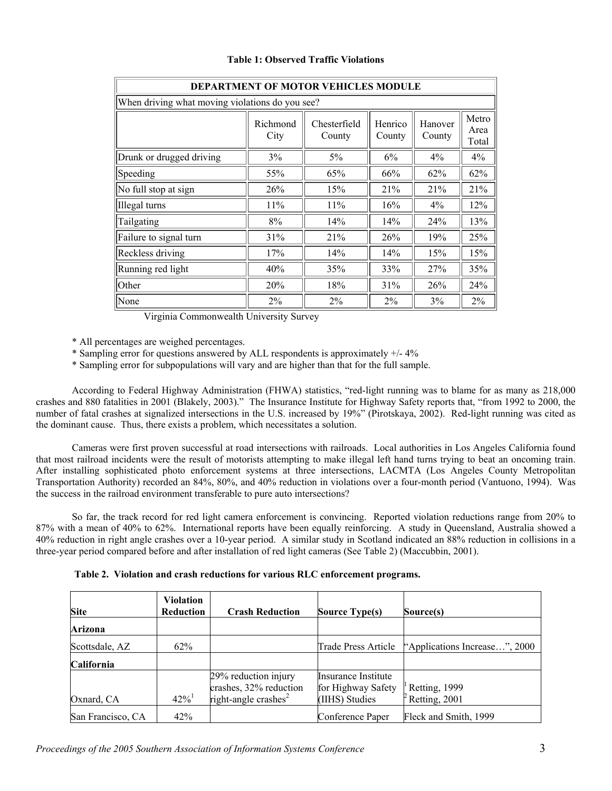| <b>DEPARTMENT OF MOTOR VEHICLES MODULE</b>      |                  |                        |                   |                   |                        |
|-------------------------------------------------|------------------|------------------------|-------------------|-------------------|------------------------|
| When driving what moving violations do you see? |                  |                        |                   |                   |                        |
|                                                 | Richmond<br>City | Chesterfield<br>County | Henrico<br>County | Hanover<br>County | Metro<br>Area<br>Total |
| Drunk or drugged driving                        | 3%               | 5%                     | 6%                | 4%                | 4%                     |
| Speeding                                        | 55%              | 65%                    | 66%               | 62%               | 62%                    |
| No full stop at sign                            | 26%              | 15%                    | 21%               | 21%               | 21%                    |
| Illegal turns                                   | 11%              | 11%                    | 16%               | $4\%$             | 12%                    |
| Tailgating                                      | 8%               | 14%                    | 14%               | 24%               | 13%                    |
| Failure to signal turn                          | 31%              | 21%                    | 26%               | 19%               | 25%                    |
| Reckless driving                                | 17%              | 14%                    | 14%               | 15%               | 15%                    |
| Running red light                               | 40%              | 35%                    | 33%               | 27%               | 35%                    |
| Other                                           | 20%              | 18%                    | 31%               | 26%               | 24%                    |
| None                                            | 2%               | 2%                     | 2%                | 3%                | 2%                     |

#### **Table 1: Observed Traffic Violations**

Virginia Commonwealth University Survey

\* All percentages are weighed percentages.

\* Sampling error for questions answered by ALL respondents is approximately +/- 4%

\* Sampling error for subpopulations will vary and are higher than that for the full sample.

According to Federal Highway Administration (FHWA) statistics, "red-light running was to blame for as many as 218,000 crashes and 880 fatalities in 2001 (Blakely, 2003)." The Insurance Institute for Highway Safety reports that, "from 1992 to 2000, the number of fatal crashes at signalized intersections in the U.S. increased by 19%" (Pirotskaya, 2002). Red-light running was cited as the dominant cause. Thus, there exists a problem, which necessitates a solution.

Cameras were first proven successful at road intersections with railroads. Local authorities in Los Angeles California found that most railroad incidents were the result of motorists attempting to make illegal left hand turns trying to beat an oncoming train. After installing sophisticated photo enforcement systems at three intersections, LACMTA (Los Angeles County Metropolitan Transportation Authority) recorded an 84%, 80%, and 40% reduction in violations over a four-month period (Vantuono, 1994). Was the success in the railroad environment transferable to pure auto intersections?

So far, the track record for red light camera enforcement is convincing. Reported violation reductions range from 20% to 87% with a mean of 40% to 62%. International reports have been equally reinforcing. A study in Queensland, Australia showed a 40% reduction in right angle crashes over a 10-year period. A similar study in Scotland indicated an 88% reduction in collisions in a three-year period compared before and after installation of red light cameras (See Table 2) (Maccubbin, 2001).

|  |  |  | Table 2. Violation and crash reductions for various RLC enforcement programs. |  |
|--|--|--|-------------------------------------------------------------------------------|--|
|  |  |  |                                                                               |  |

| <b>Site</b>       | Violation<br>Reduction | <b>Crash Reduction</b>  | <b>Source Type(s)</b> | Source(s)                                   |
|-------------------|------------------------|-------------------------|-----------------------|---------------------------------------------|
| Arizona           |                        |                         |                       |                                             |
| Scottsdale, AZ    | 62%                    |                         | Trade Press Article   | "Applications Increase", 2000               |
| California        |                        |                         |                       |                                             |
|                   |                        | 29% reduction injury    | Insurance Institute   |                                             |
|                   |                        | crashes, 32% reduction  | for Highway Safety    | <sup><math>\vert</math></sup> Retting, 1999 |
| Oxnard, CA        | $42\%$ <sup>1</sup>    | right-angle crashes $2$ | (IIHS) Studies        | $\textdegree$ Retting, 2001                 |
| San Francisco, CA | 42%                    |                         | Conference Paper      | Fleck and Smith, 1999                       |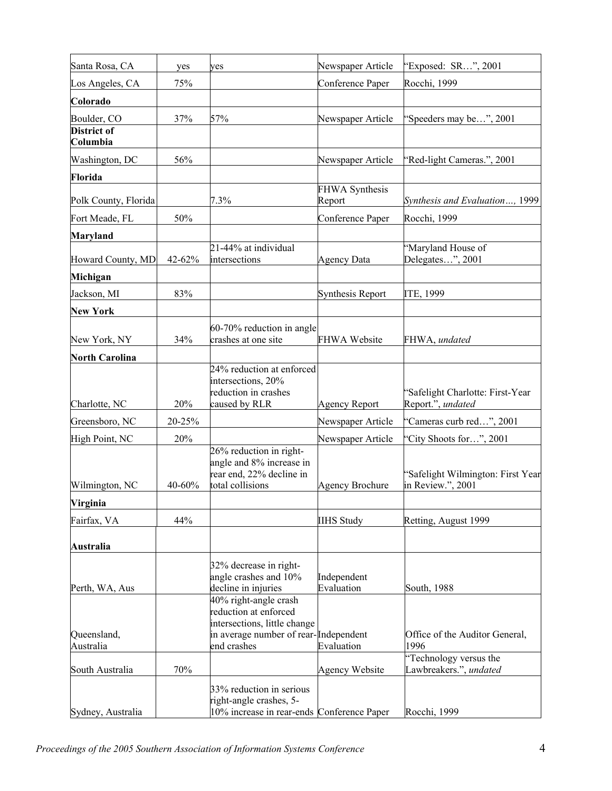| Santa Rosa, CA                 | yes    | yes                                                                                                                                    | Newspaper Article               | "Exposed: SR", 2001                                    |
|--------------------------------|--------|----------------------------------------------------------------------------------------------------------------------------------------|---------------------------------|--------------------------------------------------------|
| Los Angeles, CA                | 75%    |                                                                                                                                        | Conference Paper                | Rocchi, 1999                                           |
| Colorado                       |        |                                                                                                                                        |                                 |                                                        |
| Boulder, CO                    | 37%    | 57%                                                                                                                                    | Newspaper Article               | "Speeders may be", 2001                                |
| <b>District of</b><br>Columbia |        |                                                                                                                                        |                                 |                                                        |
| Washington, DC                 | 56%    |                                                                                                                                        | Newspaper Article               | "Red-light Cameras.", 2001                             |
| Florida                        |        |                                                                                                                                        |                                 |                                                        |
| Polk County, Florida           |        | 7.3%                                                                                                                                   | <b>FHWA Synthesis</b><br>Report | Synthesis and Evaluation, 1999                         |
| Fort Meade, FL                 | 50%    |                                                                                                                                        | Conference Paper                | Rocchi, 1999                                           |
| <b>Maryland</b>                |        |                                                                                                                                        |                                 |                                                        |
| Howard County, MD              | 42-62% | 21-44% at individual<br>intersections                                                                                                  | <b>Agency Data</b>              | 'Maryland House of<br>Delegates", 2001                 |
| Michigan                       |        |                                                                                                                                        |                                 |                                                        |
| Jackson, MI                    | 83%    |                                                                                                                                        | <b>Synthesis Report</b>         | ITE, 1999                                              |
| <b>New York</b>                |        |                                                                                                                                        |                                 |                                                        |
| New York, NY                   | 34%    | 60-70% reduction in angle<br>crashes at one site                                                                                       | <b>FHWA Website</b>             | FHWA, undated                                          |
| <b>North Carolina</b>          |        |                                                                                                                                        |                                 |                                                        |
| Charlotte, NC                  | 20%    | 24% reduction at enforced<br>intersections, 20%<br>reduction in crashes<br>caused by RLR                                               | <b>Agency Report</b>            | 'Safelight Charlotte: First-Year<br>Report.", undated  |
| Greensboro, NC                 | 20-25% |                                                                                                                                        | Newspaper Article               | 'Cameras curb red", 2001                               |
| High Point, NC                 | 20%    |                                                                                                                                        | Newspaper Article               | 'City Shoots for", 2001                                |
| Wilmington, NC                 | 40-60% | 26% reduction in right-<br>angle and 8% increase in<br>rear end, 22% decline in<br>total collisions                                    | <b>Agency Brochure</b>          | 'Safelight Wilmington: First Year<br>in Review.", 2001 |
| Virginia                       |        |                                                                                                                                        |                                 |                                                        |
| Fairfax, VA                    | 44%    |                                                                                                                                        | <b>IIHS Study</b>               | Retting, August 1999                                   |
| Australia                      |        |                                                                                                                                        |                                 |                                                        |
| Perth, WA, Aus                 |        | 32% decrease in right-<br>angle crashes and 10%<br>decline in injuries                                                                 | Independent<br>Evaluation       | South, 1988                                            |
| Queensland,<br>Australia       |        | 40% right-angle crash<br>reduction at enforced<br>intersections, little change<br>in average number of rear-Independent<br>end crashes | Evaluation                      | Office of the Auditor General,<br>1996                 |
| South Australia                | 70%    |                                                                                                                                        | Agency Website                  | "Technology versus the<br>Lawbreakers.", undated       |
| Sydney, Australia              |        | 33% reduction in serious<br>right-angle crashes, 5-<br>10% increase in rear-ends Conference Paper                                      |                                 | Rocchi, 1999                                           |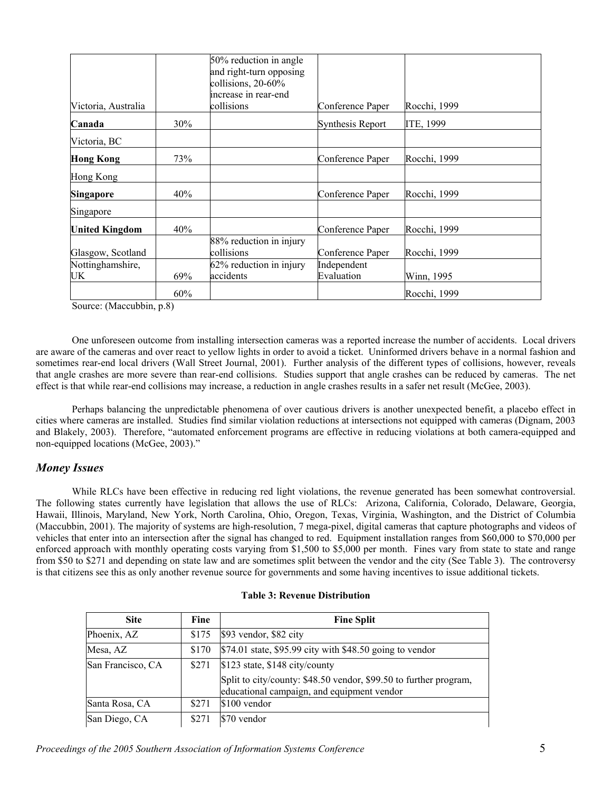|                       |     | 50% reduction in angle                        |                         |              |
|-----------------------|-----|-----------------------------------------------|-------------------------|--------------|
|                       |     | and right-turn opposing<br>collisions, 20-60% |                         |              |
|                       |     | increase in rear-end                          |                         |              |
| Victoria, Australia   |     | collisions                                    | Conference Paper        | Rocchi, 1999 |
| Canada                | 30% |                                               | <b>Synthesis Report</b> | ITE, 1999    |
| Victoria, BC          |     |                                               |                         |              |
| <b>Hong Kong</b>      | 73% |                                               | Conference Paper        | Rocchi, 1999 |
| Hong Kong             |     |                                               |                         |              |
| <b>Singapore</b>      | 40% |                                               | Conference Paper        | Rocchi, 1999 |
| Singapore             |     |                                               |                         |              |
| <b>United Kingdom</b> | 40% |                                               | Conference Paper        | Rocchi, 1999 |
|                       |     | 88% reduction in injury                       |                         |              |
| Glasgow, Scotland     |     | collisions                                    | Conference Paper        | Rocchi, 1999 |
| Nottinghamshire,      |     | $62\%$ reduction in injury                    | Independent             |              |
| UK                    | 69% | accidents                                     | Evaluation              | Winn, 1995   |
|                       | 60% |                                               |                         | Rocchi, 1999 |

Source: (Maccubbin, p.8)

One unforeseen outcome from installing intersection cameras was a reported increase the number of accidents. Local drivers are aware of the cameras and over react to yellow lights in order to avoid a ticket. Uninformed drivers behave in a normal fashion and sometimes rear-end local drivers (Wall Street Journal, 2001). Further analysis of the different types of collisions, however, reveals that angle crashes are more severe than rear-end collisions. Studies support that angle crashes can be reduced by cameras. The net effect is that while rear-end collisions may increase, a reduction in angle crashes results in a safer net result (McGee, 2003).

Perhaps balancing the unpredictable phenomena of over cautious drivers is another unexpected benefit, a placebo effect in cities where cameras are installed. Studies find similar violation reductions at intersections not equipped with cameras (Dignam, 2003 and Blakely, 2003). Therefore, "automated enforcement programs are effective in reducing violations at both camera-equipped and non-equipped locations (McGee, 2003)."

#### *Money Issues*

While RLCs have been effective in reducing red light violations, the revenue generated has been somewhat controversial. The following states currently have legislation that allows the use of RLCs: Arizona, California, Colorado, Delaware, Georgia, Hawaii, Illinois, Maryland, New York, North Carolina, Ohio, Oregon, Texas, Virginia, Washington, and the District of Columbia (Maccubbin, 2001). The majority of systems are high-resolution, 7 mega-pixel, digital cameras that capture photographs and videos of vehicles that enter into an intersection after the signal has changed to red. Equipment installation ranges from \$60,000 to \$70,000 per enforced approach with monthly operating costs varying from \$1,500 to \$5,000 per month. Fines vary from state to state and range from \$50 to \$271 and depending on state law and are sometimes split between the vendor and the city (See Table 3). The controversy is that citizens see this as only another revenue source for governments and some having incentives to issue additional tickets.

| <b>Site</b>       | Fine  | <b>Fine Split</b>                                                                                               |
|-------------------|-------|-----------------------------------------------------------------------------------------------------------------|
| Phoenix, AZ       | \$175 | \$93 vendor, \$82 city                                                                                          |
| Mesa, AZ          | \$170 | \$74.01 state, \$95.99 city with \$48.50 going to vendor                                                        |
| San Francisco, CA | \$271 | \$123 state, \$148 city/county                                                                                  |
|                   |       | Split to city/county: \$48.50 vendor, \$99.50 to further program,<br>educational campaign, and equipment vendor |
| Santa Rosa, CA    | \$271 | \$100 vendor                                                                                                    |
| San Diego, CA     | \$271 | \$70 vendor                                                                                                     |

#### **Table 3: Revenue Distribution**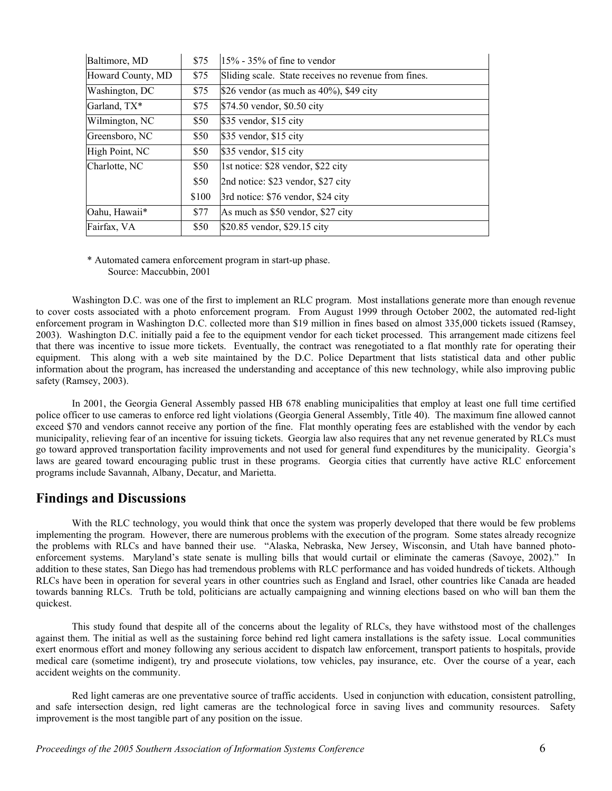| Baltimore, MD     | \$75  | $15\%$ - 35% of fine to vendor                       |
|-------------------|-------|------------------------------------------------------|
| Howard County, MD | \$75  | Sliding scale. State receives no revenue from fines. |
| Washington, DC    | \$75  | \$26 vendor (as much as $40\%$ ), \$49 city          |
| Garland, TX*      | \$75  | \$74.50 vendor, \$0.50 city                          |
| Wilmington, NC    | \$50  | \$35 vendor, \$15 city                               |
| Greensboro, NC    | \$50  | \$35 vendor, \$15 city                               |
| High Point, NC    | \$50  | \$35 vendor, \$15 city                               |
| Charlotte, NC     | \$50  | 1st notice: \$28 vendor, \$22 city                   |
|                   | \$50  | 2nd notice: \$23 vendor, \$27 city                   |
|                   | \$100 | 3rd notice: \$76 vendor, \$24 city                   |
| Oahu, Hawaii*     | \$77  | As much as \$50 vendor, \$27 city                    |
| Fairfax, VA       | \$50  | \$20.85 vendor, \$29.15 city                         |

\* Automated camera enforcement program in start-up phase. Source: Maccubbin, 2001

Washington D.C. was one of the first to implement an RLC program. Most installations generate more than enough revenue to cover costs associated with a photo enforcement program. From August 1999 through October 2002, the automated red-light enforcement program in Washington D.C. collected more than \$19 million in fines based on almost 335,000 tickets issued (Ramsey, 2003). Washington D.C. initially paid a fee to the equipment vendor for each ticket processed. This arrangement made citizens feel that there was incentive to issue more tickets. Eventually, the contract was renegotiated to a flat monthly rate for operating their equipment. This along with a web site maintained by the D.C. Police Department that lists statistical data and other public information about the program, has increased the understanding and acceptance of this new technology, while also improving public safety (Ramsey, 2003).

In 2001, the Georgia General Assembly passed HB 678 enabling municipalities that employ at least one full time certified police officer to use cameras to enforce red light violations (Georgia General Assembly, Title 40). The maximum fine allowed cannot exceed \$70 and vendors cannot receive any portion of the fine. Flat monthly operating fees are established with the vendor by each municipality, relieving fear of an incentive for issuing tickets. Georgia law also requires that any net revenue generated by RLCs must go toward approved transportation facility improvements and not used for general fund expenditures by the municipality. Georgia's laws are geared toward encouraging public trust in these programs. Georgia cities that currently have active RLC enforcement programs include Savannah, Albany, Decatur, and Marietta.

## **Findings and Discussions**

With the RLC technology, you would think that once the system was properly developed that there would be few problems implementing the program. However, there are numerous problems with the execution of the program. Some states already recognize the problems with RLCs and have banned their use. "Alaska, Nebraska, New Jersey, Wisconsin, and Utah have banned photoenforcement systems. Maryland's state senate is mulling bills that would curtail or eliminate the cameras (Savoye, 2002)." In addition to these states, San Diego has had tremendous problems with RLC performance and has voided hundreds of tickets. Although RLCs have been in operation for several years in other countries such as England and Israel, other countries like Canada are headed towards banning RLCs. Truth be told, politicians are actually campaigning and winning elections based on who will ban them the quickest.

This study found that despite all of the concerns about the legality of RLCs, they have withstood most of the challenges against them. The initial as well as the sustaining force behind red light camera installations is the safety issue. Local communities exert enormous effort and money following any serious accident to dispatch law enforcement, transport patients to hospitals, provide medical care (sometime indigent), try and prosecute violations, tow vehicles, pay insurance, etc. Over the course of a year, each accident weights on the community.

Red light cameras are one preventative source of traffic accidents. Used in conjunction with education, consistent patrolling, and safe intersection design, red light cameras are the technological force in saving lives and community resources. Safety improvement is the most tangible part of any position on the issue.